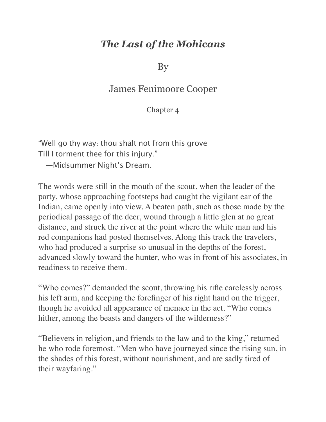## *The Last of the Mohicans*

By

## James Fenimoore Cooper

Chapter 4

"Well go thy way: thou shalt not from this grove Till I torment thee for this injury."

—Midsummer Night's Dream.

The words were still in the mouth of the scout, when the leader of the party, whose approaching footsteps had caught the vigilant ear of the Indian, came openly into view. A beaten path, such as those made by the periodical passage of the deer, wound through a little glen at no great distance, and struck the river at the point where the white man and his red companions had posted themselves. Along this track the travelers, who had produced a surprise so unusual in the depths of the forest, advanced slowly toward the hunter, who was in front of his associates, in readiness to receive them.

"Who comes?" demanded the scout, throwing his rifle carelessly across his left arm, and keeping the forefinger of his right hand on the trigger, though he avoided all appearance of menace in the act. "Who comes hither, among the beasts and dangers of the wilderness?"

"Believers in religion, and friends to the law and to the king," returned he who rode foremost. "Men who have journeyed since the rising sun, in the shades of this forest, without nourishment, and are sadly tired of their wayfaring."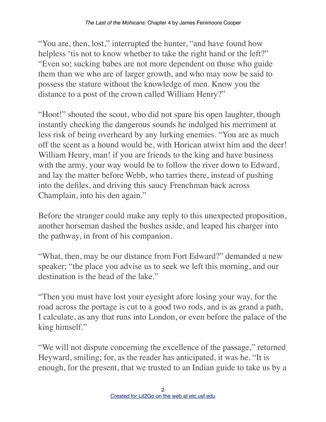"You are, then, lost," interrupted the hunter, "and have found how helpless 'tis not to know whether to take the right hand or the left?" "Even so; sucking babes are not more dependent on those who guide them than we who are of larger growth, and who may now be said to possess the stature without the knowledge of men. Know you the distance to a post of the crown called William Henry?"

"Hoot!" shouted the scout, who did not spare his open laughter, though instantly checking the dangerous sounds he indulged his merriment at less risk of being overheard by any lurking enemies. "You are as much off the scent as a hound would be, with Horican atwixt him and the deer! William Henry, man! if you are friends to the king and have business with the army, your way would be to follow the river down to Edward, and lay the matter before Webb, who tarries there, instead of pushing into the defiles, and driving this saucy Frenchman back across Champlain, into his den again."

Before the stranger could make any reply to this unexpected proposition, another horseman dashed the bushes aside, and leaped his charger into the pathway, in front of his companion.

"What, then, may be our distance from Fort Edward?" demanded a new speaker; "the place you advise us to seek we left this morning, and our destination is the head of the lake."

"Then you must have lost your eyesight afore losing your way, for the road across the portage is cut to a good two rods, and is as grand a path, I calculate, as any that runs into London, or even before the palace of the king himself."

"We will not dispute concerning the excellence of the passage," returned Heyward, smiling; for, as the reader has anticipated, it was he. "It is enough, for the present, that we trusted to an Indian guide to take us by a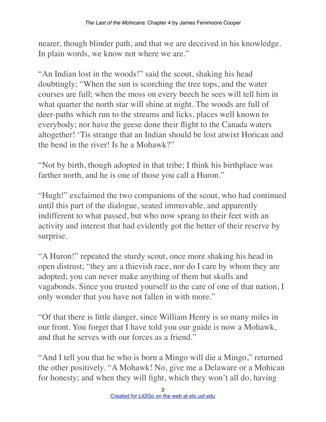nearer, though blinder path, and that we are deceived in his knowledge. In plain words, we know not where we are."

"An Indian lost in the woods!" said the scout, shaking his head doubtingly; "When the sun is scorching the tree tops, and the water courses are full; when the moss on every beech he sees will tell him in what quarter the north star will shine at night. The woods are full of deer-paths which run to the streams and licks, places well known to everybody; nor have the geese done their flight to the Canada waters altogether! 'Tis strange that an Indian should be lost atwixt Horican and the bend in the river! Is he a Mohawk?"

"Not by birth, though adopted in that tribe; I think his birthplace was farther north, and he is one of those you call a Huron."

"Hugh!" exclaimed the two companions of the scout, who had continued until this part of the dialogue, seated immovable, and apparently indifferent to what passed, but who now sprang to their feet with an activity and interest that had evidently got the better of their reserve by surprise.

"A Huron!" repeated the sturdy scout, once more shaking his head in open distrust; "they are a thievish race, nor do I care by whom they are adopted; you can never make anything of them but skulls and vagabonds. Since you trusted yourself to the care of one of that nation, I only wonder that you have not fallen in with more."

"Of that there is little danger, since William Henry is so many miles in our front. You forget that I have told you our guide is now a Mohawk, and that he serves with our forces as a friend."

"And I tell you that he who is born a Mingo will die a Mingo," returned the other positively. "A Mohawk! No, give me a Delaware or a Mohican for honesty; and when they will fight, which they won't all do, having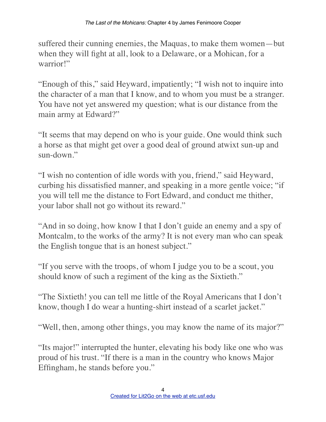suffered their cunning enemies, the Maquas, to make them women—but when they will fight at all, look to a Delaware, or a Mohican, for a warrior!"

"Enough of this," said Heyward, impatiently; "I wish not to inquire into the character of a man that I know, and to whom you must be a stranger. You have not yet answered my question; what is our distance from the main army at Edward?"

"It seems that may depend on who is your guide. One would think such a horse as that might get over a good deal of ground atwixt sun-up and sun-down."

"I wish no contention of idle words with you, friend," said Heyward, curbing his dissatisfied manner, and speaking in a more gentle voice; "if you will tell me the distance to Fort Edward, and conduct me thither, your labor shall not go without its reward."

"And in so doing, how know I that I don't guide an enemy and a spy of Montcalm, to the works of the army? It is not every man who can speak the English tongue that is an honest subject."

"If you serve with the troops, of whom I judge you to be a scout, you should know of such a regiment of the king as the Sixtieth."

"The Sixtieth! you can tell me little of the Royal Americans that I don't know, though I do wear a hunting-shirt instead of a scarlet jacket."

"Well, then, among other things, you may know the name of its major?"

"Its major!" interrupted the hunter, elevating his body like one who was proud of his trust. "If there is a man in the country who knows Major Effingham, he stands before you."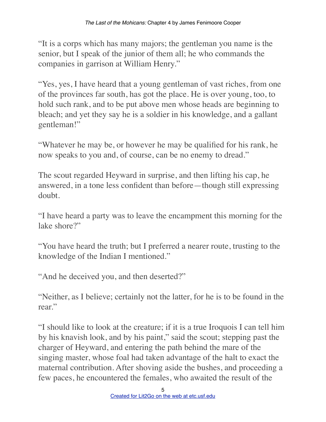"It is a corps which has many majors; the gentleman you name is the senior, but I speak of the junior of them all; he who commands the companies in garrison at William Henry."

"Yes, yes, I have heard that a young gentleman of vast riches, from one of the provinces far south, has got the place. He is over young, too, to hold such rank, and to be put above men whose heads are beginning to bleach; and yet they say he is a soldier in his knowledge, and a gallant gentleman!"

"Whatever he may be, or however he may be qualified for his rank, he now speaks to you and, of course, can be no enemy to dread."

The scout regarded Heyward in surprise, and then lifting his cap, he answered, in a tone less confident than before—though still expressing doubt.

"I have heard a party was to leave the encampment this morning for the lake shore?"

"You have heard the truth; but I preferred a nearer route, trusting to the knowledge of the Indian I mentioned."

"And he deceived you, and then deserted?"

"Neither, as I believe; certainly not the latter, for he is to be found in the rear."

"I should like to look at the creature; if it is a true Iroquois I can tell him by his knavish look, and by his paint," said the scout; stepping past the charger of Heyward, and entering the path behind the mare of the singing master, whose foal had taken advantage of the halt to exact the maternal contribution. After shoving aside the bushes, and proceeding a few paces, he encountered the females, who awaited the result of the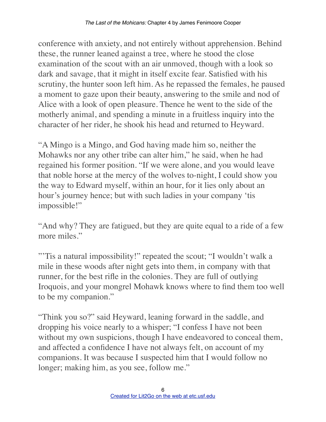conference with anxiety, and not entirely without apprehension. Behind these, the runner leaned against a tree, where he stood the close examination of the scout with an air unmoved, though with a look so dark and savage, that it might in itself excite fear. Satisfied with his scrutiny, the hunter soon left him. As he repassed the females, he paused a moment to gaze upon their beauty, answering to the smile and nod of Alice with a look of open pleasure. Thence he went to the side of the motherly animal, and spending a minute in a fruitless inquiry into the character of her rider, he shook his head and returned to Heyward.

"A Mingo is a Mingo, and God having made him so, neither the Mohawks nor any other tribe can alter him," he said, when he had regained his former position. "If we were alone, and you would leave that noble horse at the mercy of the wolves to-night, I could show you the way to Edward myself, within an hour, for it lies only about an hour's journey hence; but with such ladies in your company 'tis impossible!"

"And why? They are fatigued, but they are quite equal to a ride of a few more miles."

"'Tis a natural impossibility!" repeated the scout; "I wouldn't walk a mile in these woods after night gets into them, in company with that runner, for the best rifle in the colonies. They are full of outlying Iroquois, and your mongrel Mohawk knows where to find them too well to be my companion."

"Think you so?" said Heyward, leaning forward in the saddle, and dropping his voice nearly to a whisper; "I confess I have not been without my own suspicions, though I have endeavored to conceal them, and affected a confidence I have not always felt, on account of my companions. It was because I suspected him that I would follow no longer; making him, as you see, follow me."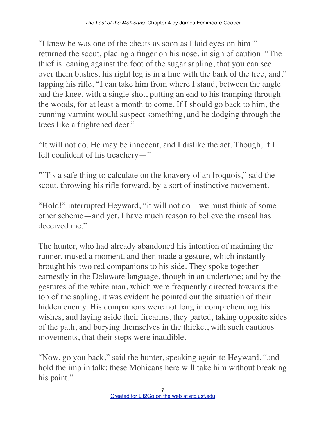"I knew he was one of the cheats as soon as I laid eyes on him!" returned the scout, placing a finger on his nose, in sign of caution. "The thief is leaning against the foot of the sugar sapling, that you can see over them bushes; his right leg is in a line with the bark of the tree, and," tapping his rifle, "I can take him from where I stand, between the angle and the knee, with a single shot, putting an end to his tramping through the woods, for at least a month to come. If I should go back to him, the cunning varmint would suspect something, and be dodging through the trees like a frightened deer."

"It will not do. He may be innocent, and I dislike the act. Though, if I felt confident of his treachery—"

"'Tis a safe thing to calculate on the knavery of an Iroquois," said the scout, throwing his rifle forward, by a sort of instinctive movement.

"Hold!" interrupted Heyward, "it will not do—we must think of some other scheme—and yet, I have much reason to believe the rascal has deceived me."

The hunter, who had already abandoned his intention of maiming the runner, mused a moment, and then made a gesture, which instantly brought his two red companions to his side. They spoke together earnestly in the Delaware language, though in an undertone; and by the gestures of the white man, which were frequently directed towards the top of the sapling, it was evident he pointed out the situation of their hidden enemy. His companions were not long in comprehending his wishes, and laying aside their firearms, they parted, taking opposite sides of the path, and burying themselves in the thicket, with such cautious movements, that their steps were inaudible.

"Now, go you back," said the hunter, speaking again to Heyward, "and hold the imp in talk; these Mohicans here will take him without breaking his paint."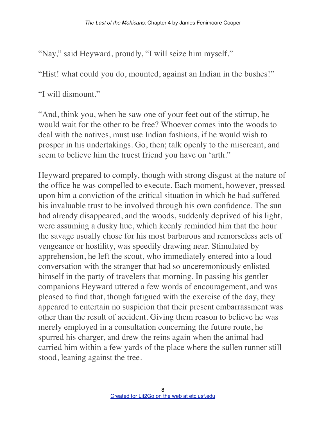"Nay," said Heyward, proudly, "I will seize him myself."

"Hist! what could you do, mounted, against an Indian in the bushes!"

"I will dismount."

"And, think you, when he saw one of your feet out of the stirrup, he would wait for the other to be free? Whoever comes into the woods to deal with the natives, must use Indian fashions, if he would wish to prosper in his undertakings. Go, then; talk openly to the miscreant, and seem to believe him the truest friend you have on 'arth."

Heyward prepared to comply, though with strong disgust at the nature of the office he was compelled to execute. Each moment, however, pressed upon him a conviction of the critical situation in which he had suffered his invaluable trust to be involved through his own confidence. The sun had already disappeared, and the woods, suddenly deprived of his light, were assuming a dusky hue, which keenly reminded him that the hour the savage usually chose for his most barbarous and remorseless acts of vengeance or hostility, was speedily drawing near. Stimulated by apprehension, he left the scout, who immediately entered into a loud conversation with the stranger that had so unceremoniously enlisted himself in the party of travelers that morning. In passing his gentler companions Heyward uttered a few words of encouragement, and was pleased to find that, though fatigued with the exercise of the day, they appeared to entertain no suspicion that their present embarrassment was other than the result of accident. Giving them reason to believe he was merely employed in a consultation concerning the future route, he spurred his charger, and drew the reins again when the animal had carried him within a few yards of the place where the sullen runner still stood, leaning against the tree.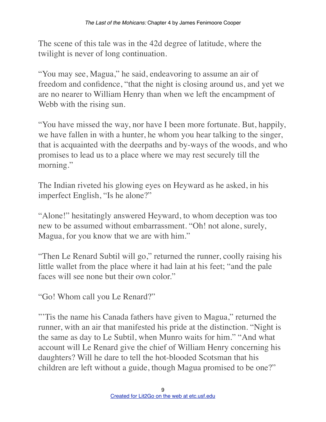The scene of this tale was in the 42d degree of latitude, where the twilight is never of long continuation.

"You may see, Magua," he said, endeavoring to assume an air of freedom and confidence, "that the night is closing around us, and yet we are no nearer to William Henry than when we left the encampment of Webb with the rising sun.

"You have missed the way, nor have I been more fortunate. But, happily, we have fallen in with a hunter, he whom you hear talking to the singer, that is acquainted with the deerpaths and by-ways of the woods, and who promises to lead us to a place where we may rest securely till the morning."

The Indian riveted his glowing eyes on Heyward as he asked, in his imperfect English, "Is he alone?"

"Alone!" hesitatingly answered Heyward, to whom deception was too new to be assumed without embarrassment. "Oh! not alone, surely, Magua, for you know that we are with him."

"Then Le Renard Subtil will go," returned the runner, coolly raising his little wallet from the place where it had lain at his feet; "and the pale faces will see none but their own color."

"Go! Whom call you Le Renard?"

"Tis the name his Canada fathers have given to Magua," returned the runner, with an air that manifested his pride at the distinction. "Night is the same as day to Le Subtil, when Munro waits for him." "And what account will Le Renard give the chief of William Henry concerning his daughters? Will he dare to tell the hot-blooded Scotsman that his children are left without a guide, though Magua promised to be one?"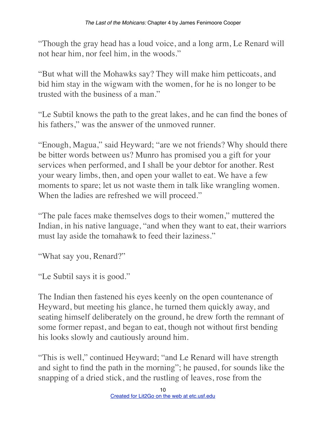"Though the gray head has a loud voice, and a long arm, Le Renard will not hear him, nor feel him, in the woods."

"But what will the Mohawks say? They will make him petticoats, and bid him stay in the wigwam with the women, for he is no longer to be trusted with the business of a man."

"Le Subtil knows the path to the great lakes, and he can find the bones of his fathers," was the answer of the unmoved runner.

"Enough, Magua," said Heyward; "are we not friends? Why should there be bitter words between us? Munro has promised you a gift for your services when performed, and I shall be your debtor for another. Rest your weary limbs, then, and open your wallet to eat. We have a few moments to spare; let us not waste them in talk like wrangling women. When the ladies are refreshed we will proceed."

"The pale faces make themselves dogs to their women," muttered the Indian, in his native language, "and when they want to eat, their warriors must lay aside the tomahawk to feed their laziness."

"What say you, Renard?"

"Le Subtil says it is good."

The Indian then fastened his eyes keenly on the open countenance of Heyward, but meeting his glance, he turned them quickly away, and seating himself deliberately on the ground, he drew forth the remnant of some former repast, and began to eat, though not without first bending his looks slowly and cautiously around him.

"This is well," continued Heyward; "and Le Renard will have strength and sight to find the path in the morning"; he paused, for sounds like the snapping of a dried stick, and the rustling of leaves, rose from the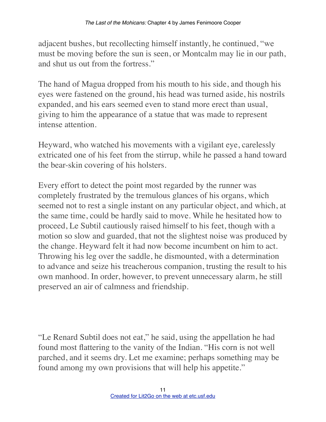adjacent bushes, but recollecting himself instantly, he continued, "we must be moving before the sun is seen, or Montcalm may lie in our path, and shut us out from the fortress."

The hand of Magua dropped from his mouth to his side, and though his eyes were fastened on the ground, his head was turned aside, his nostrils expanded, and his ears seemed even to stand more erect than usual, giving to him the appearance of a statue that was made to represent intense attention.

Heyward, who watched his movements with a vigilant eye, carelessly extricated one of his feet from the stirrup, while he passed a hand toward the bear-skin covering of his holsters.

Every effort to detect the point most regarded by the runner was completely frustrated by the tremulous glances of his organs, which seemed not to rest a single instant on any particular object, and which, at the same time, could be hardly said to move. While he hesitated how to proceed, Le Subtil cautiously raised himself to his feet, though with a motion so slow and guarded, that not the slightest noise was produced by the change. Heyward felt it had now become incumbent on him to act. Throwing his leg over the saddle, he dismounted, with a determination to advance and seize his treacherous companion, trusting the result to his own manhood. In order, however, to prevent unnecessary alarm, he still preserved an air of calmness and friendship.

"Le Renard Subtil does not eat," he said, using the appellation he had found most flattering to the vanity of the Indian. "His corn is not well parched, and it seems dry. Let me examine; perhaps something may be found among my own provisions that will help his appetite."